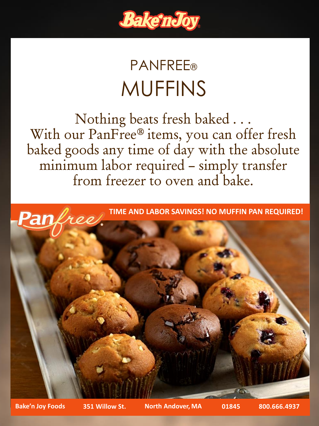

## **PANFREE®** MUFFINS

Nothing beats fresh baked . . . With our PanFree® items, you can offer fresh baked goods any time of day with the absolute minimum labor required – simply transfer from freezer to oven and bake.



**Bake'n Joy Foods 351 Willow St. North Andover, MA 01845 800.666.4937**